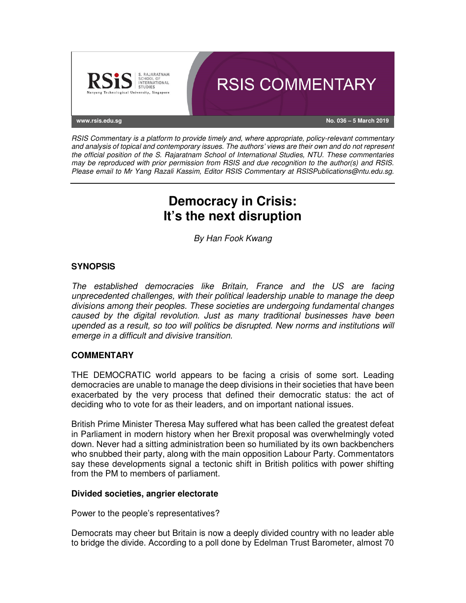

RSIS Commentary is a platform to provide timely and, where appropriate, policy-relevant commentary and analysis of topical and contemporary issues. The authors' views are their own and do not represent the official position of the S. Rajaratnam School of International Studies, NTU. These commentaries may be reproduced with prior permission from RSIS and due recognition to the author(s) and RSIS. Please email to Mr Yang Razali Kassim, Editor RSIS Commentary at RSISPublications@ntu.edu.sg.

# **Democracy in Crisis: It's the next disruption**

By Han Fook Kwang

## **SYNOPSIS**

The established democracies like Britain, France and the US are facing unprecedented challenges, with their political leadership unable to manage the deep divisions among their peoples. These societies are undergoing fundamental changes caused by the digital revolution. Just as many traditional businesses have been upended as a result, so too will politics be disrupted. New norms and institutions will emerge in a difficult and divisive transition.

### **COMMENTARY**

THE DEMOCRATIC world appears to be facing a crisis of some sort. Leading democracies are unable to manage the deep divisions in their societies that have been exacerbated by the very process that defined their democratic status: the act of deciding who to vote for as their leaders, and on important national issues.

British Prime Minister Theresa May suffered what has been called the greatest defeat in Parliament in modern history when her Brexit proposal was overwhelmingly voted down. Never had a sitting administration been so humiliated by its own backbenchers who snubbed their party, along with the main opposition Labour Party. Commentators say these developments signal a tectonic shift in British politics with power shifting from the PM to members of parliament.

### **Divided societies, angrier electorate**

Power to the people's representatives?

Democrats may cheer but Britain is now a deeply divided country with no leader able to bridge the divide. According to a poll done by Edelman Trust Barometer, almost 70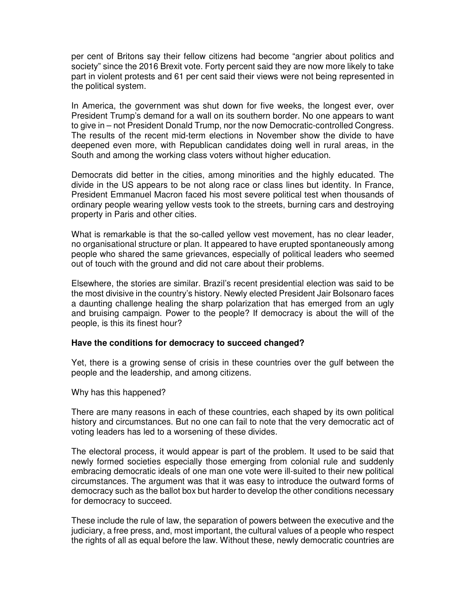per cent of Britons say their fellow citizens had become "angrier about politics and society" since the 2016 Brexit vote. Forty percent said they are now more likely to take part in violent protests and 61 per cent said their views were not being represented in the political system.

In America, the government was shut down for five weeks, the longest ever, over President Trump's demand for a wall on its southern border. No one appears to want to give in – not President Donald Trump, nor the now Democratic-controlled Congress. The results of the recent mid-term elections in November show the divide to have deepened even more, with Republican candidates doing well in rural areas, in the South and among the working class voters without higher education.

Democrats did better in the cities, among minorities and the highly educated. The divide in the US appears to be not along race or class lines but identity. In France, President Emmanuel Macron faced his most severe political test when thousands of ordinary people wearing yellow vests took to the streets, burning cars and destroying property in Paris and other cities.

What is remarkable is that the so-called yellow vest movement, has no clear leader, no organisational structure or plan. It appeared to have erupted spontaneously among people who shared the same grievances, especially of political leaders who seemed out of touch with the ground and did not care about their problems.

Elsewhere, the stories are similar. Brazil's recent presidential election was said to be the most divisive in the country's history. Newly elected President Jair Bolsonaro faces a daunting challenge healing the sharp polarization that has emerged from an ugly and bruising campaign. Power to the people? If democracy is about the will of the people, is this its finest hour?

#### **Have the conditions for democracy to succeed changed?**

Yet, there is a growing sense of crisis in these countries over the gulf between the people and the leadership, and among citizens.

Why has this happened?

There are many reasons in each of these countries, each shaped by its own political history and circumstances. But no one can fail to note that the very democratic act of voting leaders has led to a worsening of these divides.

The electoral process, it would appear is part of the problem. It used to be said that newly formed societies especially those emerging from colonial rule and suddenly embracing democratic ideals of one man one vote were ill-suited to their new political circumstances. The argument was that it was easy to introduce the outward forms of democracy such as the ballot box but harder to develop the other conditions necessary for democracy to succeed.

These include the rule of law, the separation of powers between the executive and the judiciary, a free press, and, most important, the cultural values of a people who respect the rights of all as equal before the law. Without these, newly democratic countries are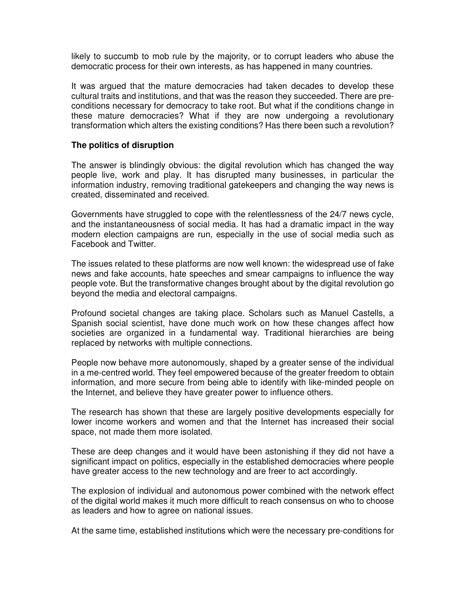likely to succumb to mob rule by the majority, or to corrupt leaders who abuse the democratic process for their own interests, as has happened in many countries.

It was argued that the mature democracies had taken decades to develop these cultural traits and institutions, and that was the reason they succeeded. There are preconditions necessary for democracy to take root. But what if the conditions change in these mature democracies? What if they are now undergoing a revolutionary transformation which alters the existing conditions? Has there been such a revolution?

#### **The politics of disruption**

The answer is blindingly obvious: the digital revolution which has changed the way people live, work and play. It has disrupted many businesses, in particular the information industry, removing traditional gatekeepers and changing the way news is created, disseminated and received.

Governments have struggled to cope with the relentlessness of the 24/7 news cycle, and the instantaneousness of social media. It has had a dramatic impact in the way modern election campaigns are run, especially in the use of social media such as Facebook and Twitter.

The issues related to these platforms are now well known: the widespread use of fake news and fake accounts, hate speeches and smear campaigns to influence the way people vote. But the transformative changes brought about by the digital revolution go beyond the media and electoral campaigns.

Profound societal changes are taking place. Scholars such as Manuel Castells, a Spanish social scientist, have done much work on how these changes affect how societies are organized in a fundamental way. Traditional hierarchies are being replaced by networks with multiple connections.

People now behave more autonomously, shaped by a greater sense of the individual in a me-centred world. They feel empowered because of the greater freedom to obtain information, and more secure from being able to identify with like-minded people on the Internet, and believe they have greater power to influence others.

The research has shown that these are largely positive developments especially for lower income workers and women and that the Internet has increased their social space, not made them more isolated.

These are deep changes and it would have been astonishing if they did not have a significant impact on politics, especially in the established democracies where people have greater access to the new technology and are freer to act accordingly.

The explosion of individual and autonomous power combined with the network effect of the digital world makes it much more difficult to reach consensus on who to choose as leaders and how to agree on national issues.

At the same time, established institutions which were the necessary pre-conditions for